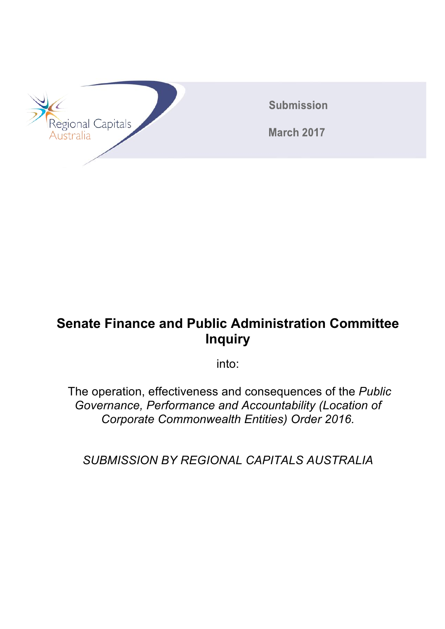

**Submission** 

**March 2017** 

# **Senate Finance and Public Administration Committee Inquiry**

into:

The operation, effectiveness and consequences of the *Public Governance, Performance and Accountability (Location of Corporate Commonwealth Entities) Order 2016.*

*SUBMISSION BY REGIONAL CAPITALS AUSTRALIA*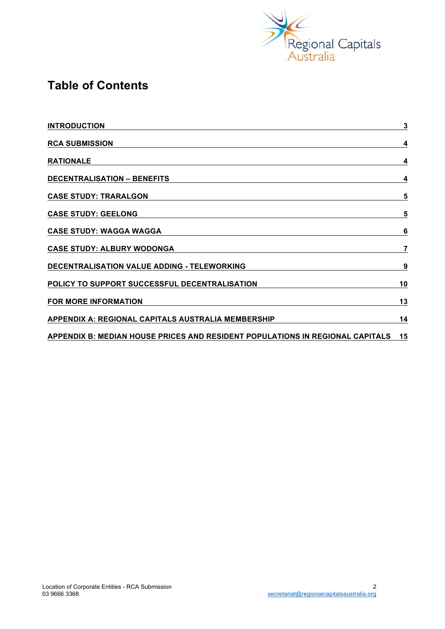

# **Table of Contents**

| <b>INTRODUCTION</b>                                                              | $\mathbf{3}$    |
|----------------------------------------------------------------------------------|-----------------|
| <b>RCA SUBMISSION</b>                                                            | 4               |
| <b>RATIONALE</b>                                                                 | 4               |
| <b>DECENTRALISATION - BENEFITS</b>                                               | 4               |
| <b>CASE STUDY: TRARALGON</b>                                                     | 5               |
| <b>CASE STUDY: GEELONG</b>                                                       | 5               |
| <b>CASE STUDY: WAGGA WAGGA</b>                                                   | $6\phantom{1}6$ |
| <b>CASE STUDY: ALBURY WODONGA</b>                                                | $\overline{7}$  |
| DECENTRALISATION VALUE ADDING - TELEWORKING                                      | 9               |
| POLICY TO SUPPORT SUCCESSFUL DECENTRALISATION                                    | 10              |
| FOR MORE INFORMATION                                                             | 13              |
| APPENDIX A: REGIONAL CAPITALS AUSTRALIA MEMBERSHIP                               | 14              |
| APPENDIX B: MEDIAN HOUSE PRICES AND RESIDENT POPULATIONS IN REGIONAL CAPITALS 15 |                 |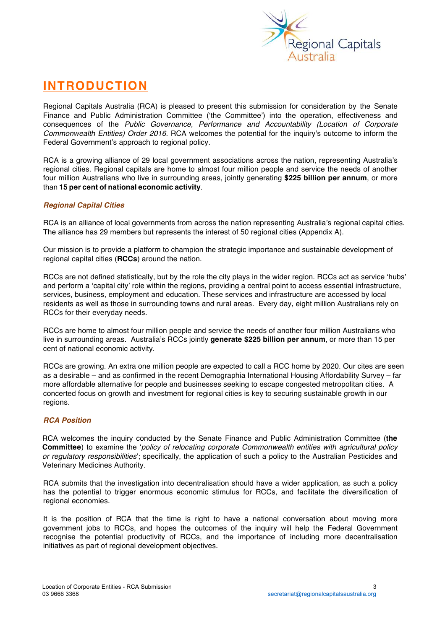

## **INTRODUCTION**

Regional Capitals Australia (RCA) is pleased to present this submission for consideration by the Senate Finance and Public Administration Committee ('the Committee') into the operation, effectiveness and consequences of the *Public Governance, Performance and Accountability (Location of Corporate Commonwealth Entities) Order 2016.* RCA welcomes the potential for the inquiry's outcome to inform the Federal Government's approach to regional policy.

RCA is a growing alliance of 29 local government associations across the nation, representing Australia's regional cities. Regional capitals are home to almost four million people and service the needs of another four million Australians who live in surrounding areas, jointly generating **\$225 billion per annum**, or more than **15 per cent of national economic activity**.

### *Regional Capital Cities*

RCA is an alliance of local governments from across the nation representing Australia's regional capital cities. The alliance has 29 members but represents the interest of 50 regional cities (Appendix A).

Our mission is to provide a platform to champion the strategic importance and sustainable development of regional capital cities (**RCCs**) around the nation.

RCCs are not defined statistically, but by the role the city plays in the wider region. RCCs act as service 'hubs' and perform a 'capital city' role within the regions, providing a central point to access essential infrastructure, services, business, employment and education. These services and infrastructure are accessed by local residents as well as those in surrounding towns and rural areas. Every day, eight million Australians rely on RCCs for their everyday needs.

RCCs are home to almost four million people and service the needs of another four million Australians who live in surrounding areas. Australia's RCCs jointly **generate \$225 billion per annum**, or more than 15 per cent of national economic activity.

RCCs are growing. An extra one million people are expected to call a RCC home by 2020. Our cites are seen as a desirable – and as confirmed in the recent Demographia International Housing Affordability Survey – far more affordable alternative for people and businesses seeking to escape congested metropolitan cities. A concerted focus on growth and investment for regional cities is key to securing sustainable growth in our regions.

### *RCA Position*

RCA welcomes the inquiry conducted by the Senate Finance and Public Administration Committee (**the Committee**) to examine the '*policy of relocating corporate Commonwealth entities with agricultural policy or regulatory responsibilities*'; specifically, the application of such a policy to the Australian Pesticides and Veterinary Medicines Authority.

RCA submits that the investigation into decentralisation should have a wider application, as such a policy has the potential to trigger enormous economic stimulus for RCCs, and facilitate the diversification of regional economies.

It is the position of RCA that the time is right to have a national conversation about moving more government jobs to RCCs, and hopes the outcomes of the inquiry will help the Federal Government recognise the potential productivity of RCCs, and the importance of including more decentralisation initiatives as part of regional development objectives.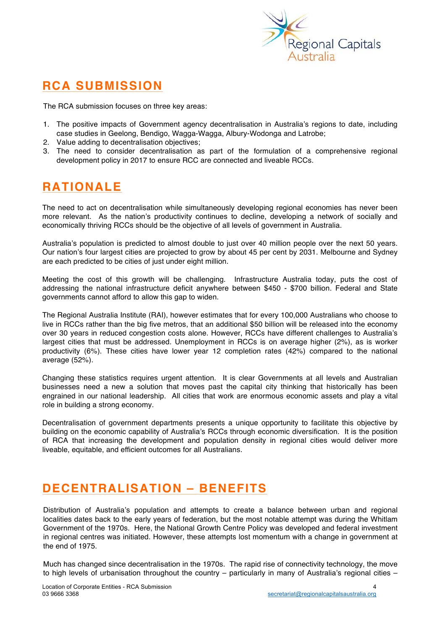

# **RCA SUBMISSION**

The RCA submission focuses on three key areas:

- 1. The positive impacts of Government agency decentralisation in Australia's regions to date, including case studies in Geelong, Bendigo, Wagga-Wagga, Albury-Wodonga and Latrobe;
- 2. Value adding to decentralisation objectives;
- 3. The need to consider decentralisation as part of the formulation of a comprehensive regional development policy in 2017 to ensure RCC are connected and liveable RCCs.

### **RATIONALE**

The need to act on decentralisation while simultaneously developing regional economies has never been more relevant. As the nation's productivity continues to decline, developing a network of socially and economically thriving RCCs should be the objective of all levels of government in Australia.

Australia's population is predicted to almost double to just over 40 million people over the next 50 years. Our nation's four largest cities are projected to grow by about 45 per cent by 2031. Melbourne and Sydney are each predicted to be cities of just under eight million.

Meeting the cost of this growth will be challenging. Infrastructure Australia today, puts the cost of addressing the national infrastructure deficit anywhere between \$450 - \$700 billion. Federal and State governments cannot afford to allow this gap to widen.

The Regional Australia Institute (RAI), however estimates that for every 100,000 Australians who choose to live in RCCs rather than the big five metros, that an additional \$50 billion will be released into the economy over 30 years in reduced congestion costs alone. However, RCCs have different challenges to Australia's largest cities that must be addressed. Unemployment in RCCs is on average higher (2%), as is worker productivity (6%). These cities have lower year 12 completion rates (42%) compared to the national average (52%).

Changing these statistics requires urgent attention. It is clear Governments at all levels and Australian businesses need a new a solution that moves past the capital city thinking that historically has been engrained in our national leadership. All cities that work are enormous economic assets and play a vital role in building a strong economy.

Decentralisation of government departments presents a unique opportunity to facilitate this objective by building on the economic capability of Australia's RCCs through economic diversification. It is the position of RCA that increasing the development and population density in regional cities would deliver more liveable, equitable, and efficient outcomes for all Australians.

# **DECENTRALISATION – BENEFITS**

Distribution of Australia's population and attempts to create a balance between urban and regional localities dates back to the early years of federation, but the most notable attempt was during the Whitlam Government of the 1970s. Here, the National Growth Centre Policy was developed and federal investment in regional centres was initiated. However, these attempts lost momentum with a change in government at the end of 1975.

Much has changed since decentralisation in the 1970s. The rapid rise of connectivity technology, the move to high levels of urbanisation throughout the country – particularly in many of Australia's regional cities –

4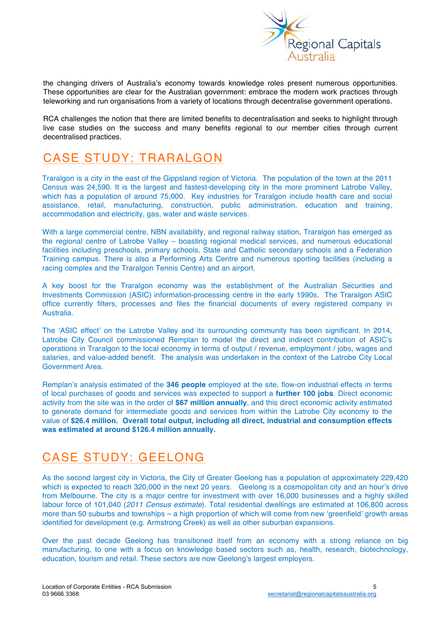

the changing drivers of Australia's economy towards knowledge roles present numerous opportunities. These opportunities are clear for the Australian government: embrace the modern work practices through teleworking and run organisations from a variety of locations through decentralise government operations.

RCA challenges the notion that there are limited benefits to decentralisation and seeks to highlight through live case studies on the success and many benefits regional to our member cities through current decentralised practices.

# CASE STUDY: TRARALGON

Traralgon is a city in the east of the Gippsland region of Victoria. The population of the town at the 2011 Census was 24,590. It is the largest and fastest-developing city in the more prominent Latrobe Valley, which has a population of around 75,000. Key industries for Traralgon include health care and social assistance, retail, manufacturing, construction, public administration, education and training, accommodation and electricity, gas, water and waste services.

With a large commercial centre, NBN availability, and regional railway station, Traralgon has emerged as the regional centre of Latrobe Valley – boasting regional medical services, and numerous educational facilities including preschools, primary schools, State and Catholic secondary schools and a Federation Training campus. There is also a Performing Arts Centre and numerous sporting facilities (including a racing complex and the Traralgon Tennis Centre) and an airport.

A key boost for the Traralgon economy was the establishment of the Australian Securities and Investments Commission (ASIC) information-processing centre in the early 1990s. The Traralgon ASIC office currently filters, processes and files the financial documents of every registered company in Australia.

The 'ASIC effect' on the Latrobe Valley and its surrounding community has been significant. In 2014, Latrobe City Council commissioned Remplan to model the direct and indirect contribution of ASIC's operations in Traralgon to the local economy in terms of output / revenue, employment / jobs, wages and salaries, and value-added benefit. The analysis was undertaken in the context of the Latrobe City Local Government Area.

Remplan's analysis estimated of the **346 people** employed at the site, flow-on industrial effects in terms of local purchases of goods and services was expected to support a **further 100 jobs**. Direct economic activity from the site was in the order of **\$67 million annually**, and this direct economic activity estimated to generate demand for intermediate goods and services from within the Latrobe City economy to the value of **\$26.4 million. Overall total output, including all direct, industrial and consumption effects was estimated at around \$126.4 million annually.**

## CASE STUDY: GEELONG

As the second largest city in Victoria, the City of Greater Geelong has a population of approximately 229,420 which is expected to reach 320,000 in the next 20 years. Geelong is a cosmopolitan city and an hour's drive from Melbourne. The city is a major centre for investment with over 16,000 businesses and a highly skilled labour force of 101,040 (*2011 Census estimate*). Total residential dwellings are estimated at 106,800 across more than 50 suburbs and townships – a high proportion of which will come from new 'greenfield' growth areas identified for development (e.g. Armstrong Creek) as well as other suburban expansions.

Over the past decade Geelong has transitioned itself from an economy with a strong reliance on big manufacturing, to one with a focus on knowledge based sectors such as, health, research, biotechnology, education, tourism and retail. These sectors are now Geelong's largest employers.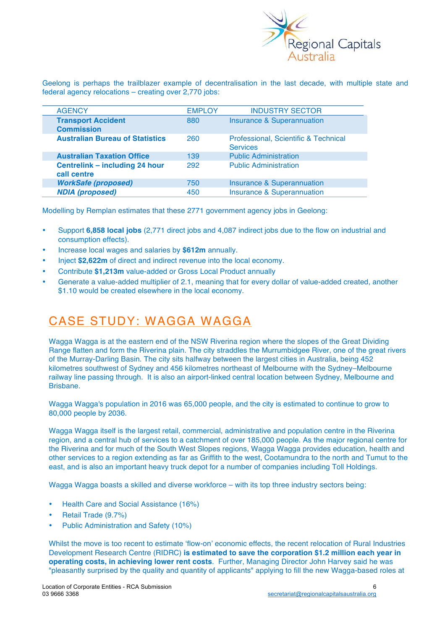

Geelong is perhaps the trailblazer example of decentralisation in the last decade, with multiple state and federal agency relocations – creating over 2,770 jobs:

| <b>AGENCY</b>                                  | <b>EMPLOY</b> | <b>INDUSTRY SECTOR</b>                                  |
|------------------------------------------------|---------------|---------------------------------------------------------|
| <b>Transport Accident</b><br><b>Commission</b> | 880           | <b>Insurance &amp; Superannuation</b>                   |
| <b>Australian Bureau of Statistics</b>         | 260           | Professional, Scientific & Technical<br><b>Services</b> |
| <b>Australian Taxation Office</b>              | 139           | <b>Public Administration</b>                            |
| Centrelink - including 24 hour<br>call centre  | 292           | <b>Public Administration</b>                            |
| <b>WorkSafe (proposed)</b>                     | 750           | Insurance & Superannuation                              |
| <b>NDIA (proposed)</b>                         | 450           | <b>Insurance &amp; Superannuation</b>                   |

Modelling by Remplan estimates that these 2771 government agency jobs in Geelong:

- Support **6,858 local jobs** (2,771 direct jobs and 4,087 indirect jobs due to the flow on industrial and consumption effects).
- Increase local wages and salaries by **\$612m** annually.
- Inject **\$2,622m** of direct and indirect revenue into the local economy.
- Contribute **\$1,213m** value-added or Gross Local Product annually
- Generate a value-added multiplier of 2.1, meaning that for every dollar of value-added created, another \$1.10 would be created elsewhere in the local economy.

## CASE STUDY: WAGGA WAGGA

Wagga Wagga is at the eastern end of the NSW Riverina region where the slopes of the Great Dividing Range flatten and form the Riverina plain. The city straddles the Murrumbidgee River, one of the great rivers of the Murray-Darling Basin. The city sits halfway between the largest cities in Australia, being 452 kilometres southwest of Sydney and 456 kilometres northeast of Melbourne with the Sydney–Melbourne railway line passing through. It is also an airport-linked central location between Sydney, Melbourne and Brisbane.

Wagga Wagga's population in 2016 was 65,000 people, and the city is estimated to continue to grow to 80,000 people by 2036.

Wagga Wagga itself is the largest retail, commercial, administrative and population centre in the Riverina region, and a central hub of services to a catchment of over 185,000 people. As the major regional centre for the Riverina and for much of the South West Slopes regions, Wagga Wagga provides education, health and other services to a region extending as far as Griffith to the west, Cootamundra to the north and Tumut to the east, and is also an important heavy truck depot for a number of companies including Toll Holdings.

Wagga Wagga boasts a skilled and diverse workforce – with its top three industry sectors being:

- Health Care and Social Assistance (16%)
- Retail Trade (9.7%)
- Public Administration and Safety (10%)

Whilst the move is too recent to estimate 'flow-on' economic effects, the recent relocation of Rural Industries Development Research Centre (RIDRC) **is estimated to save the corporation \$1.2 million each year in operating costs, in achieving lower rent costs**. Further, Managing Director John Harvey said he was "pleasantly surprised by the quality and quantity of applicants" applying to fill the new Wagga-based roles at

6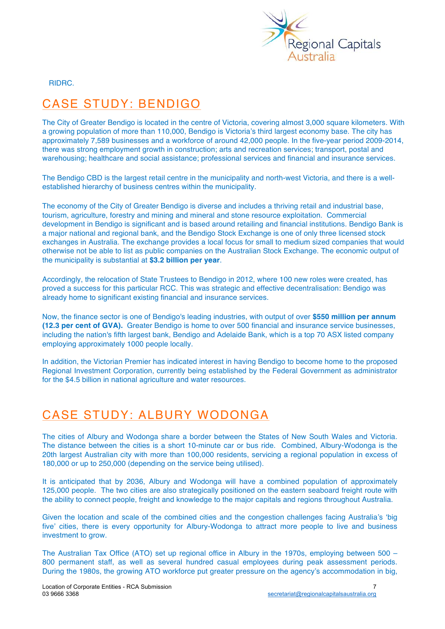

RIDRC.

# CASE STUDY: BENDIGO

The City of Greater Bendigo is located in the centre of Victoria, covering almost 3,000 square kilometers. With a growing population of more than 110,000, Bendigo is Victoria's third largest economy base. The city has approximately 7,589 businesses and a workforce of around 42,000 people. In the five-year period 2009-2014, there was strong employment growth in construction; arts and recreation services; transport, postal and warehousing; healthcare and social assistance; professional services and financial and insurance services.

The Bendigo CBD is the largest retail centre in the municipality and north-west Victoria, and there is a wellestablished hierarchy of business centres within the municipality.

The economy of the City of Greater Bendigo is diverse and includes a thriving retail and industrial base, tourism, agriculture, forestry and mining and mineral and stone resource exploitation. Commercial development in Bendigo is significant and is based around retailing and financial institutions. Bendigo Bank is a major national and regional bank, and the Bendigo Stock Exchange is one of only three licensed stock exchanges in Australia. The exchange provides a local focus for small to medium sized companies that would otherwise not be able to list as public companies on the Australian Stock Exchange. The economic output of the municipality is substantial at **\$3.2 billion per year**.

Accordingly, the relocation of State Trustees to Bendigo in 2012, where 100 new roles were created, has proved a success for this particular RCC. This was strategic and effective decentralisation: Bendigo was already home to significant existing financial and insurance services.

Now, the finance sector is one of Bendigo's leading industries, with output of over **\$550 million per annum (12.3 per cent of GVA).** Greater Bendigo is home to over 500 financial and insurance service businesses, including the nation's fifth largest bank, Bendigo and Adelaide Bank, which is a top 70 ASX listed company employing approximately 1000 people locally.

In addition, the Victorian Premier has indicated interest in having Bendigo to become home to the proposed Regional Investment Corporation, currently being established by the Federal Government as administrator for the \$4.5 billion in national agriculture and water resources.

# CASE STUDY: ALBURY WODONGA

The cities of Albury and Wodonga share a border between the States of New South Wales and Victoria. The distance between the cities is a short 10-minute car or bus ride. Combined, Albury-Wodonga is the 20th largest Australian city with more than 100,000 residents, servicing a regional population in excess of 180,000 or up to 250,000 (depending on the service being utilised).

It is anticipated that by 2036, Albury and Wodonga will have a combined population of approximately 125,000 people. The two cities are also strategically positioned on the eastern seaboard freight route with the ability to connect people, freight and knowledge to the major capitals and regions throughout Australia.

Given the location and scale of the combined cities and the congestion challenges facing Australia's 'big five' cities, there is every opportunity for Albury-Wodonga to attract more people to live and business investment to grow.

The Australian Tax Office (ATO) set up regional office in Albury in the 1970s, employing between 500 – 800 permanent staff, as well as several hundred casual employees during peak assessment periods. During the 1980s, the growing ATO workforce put greater pressure on the agency's accommodation in big,

7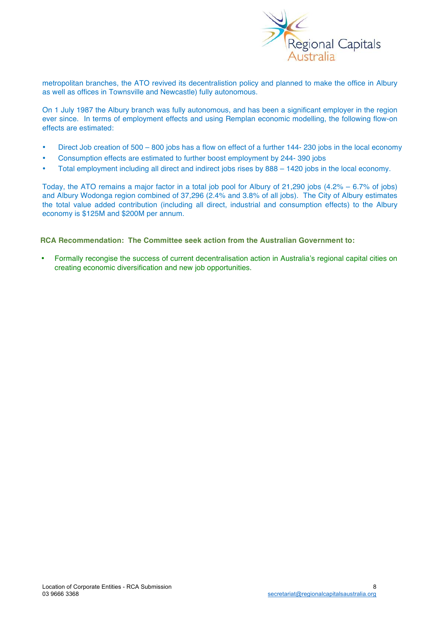

metropolitan branches, the ATO revived its decentralistion policy and planned to make the office in Albury as well as offices in Townsville and Newcastle) fully autonomous.

On 1 July 1987 the Albury branch was fully autonomous, and has been a significant employer in the region ever since. In terms of employment effects and using Remplan economic modelling, the following flow-on effects are estimated:

- Direct Job creation of 500 800 jobs has a flow on effect of a further 144- 230 jobs in the local economy
- Consumption effects are estimated to further boost employment by 244- 390 jobs
- Total employment including all direct and indirect jobs rises by 888 1420 jobs in the local economy.

Today, the ATO remains a major factor in a total job pool for Albury of 21,290 jobs (4.2% – 6.7% of jobs) and Albury Wodonga region combined of 37,296 (2.4% and 3.8% of all jobs). The City of Albury estimates the total value added contribution (including all direct, industrial and consumption effects) to the Albury economy is \$125M and \$200M per annum.

**RCA Recommendation: The Committee seek action from the Australian Government to:** 

• Formally recongise the success of current decentralisation action in Australia's regional capital cities on creating economic diversification and new job opportunities.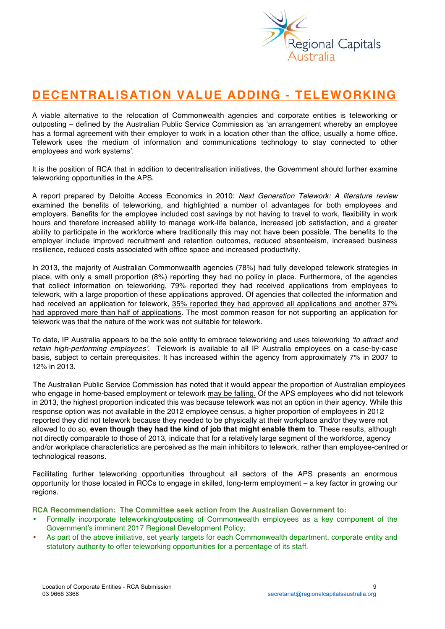

### **DECENTRALISATION VALUE ADDING - TELEWORKING**

A viable alternative to the relocation of Commonwealth agencies and corporate entities is teleworking or outposting – defined by the Australian Public Service Commission as 'an arrangement whereby an employee has a formal agreement with their employer to work in a location other than the office, usually a home office. Telework uses the medium of information and communications technology to stay connected to other employees and work systems'.

It is the position of RCA that in addition to decentralisation initiatives, the Government should further examine teleworking opportunities in the APS.

A report prepared by Deloitte Access Economics in 2010: *Next Generation Telework: A literature review*  examined the benefits of teleworking, and highlighted a number of advantages for both employees and employers. Benefits for the employee included cost savings by not having to travel to work, flexibility in work hours and therefore increased ability to manage work-life balance, increased job satisfaction, and a greater ability to participate in the workforce where traditionally this may not have been possible. The benefits to the employer include improved recruitment and retention outcomes, reduced absenteeism, increased business resilience, reduced costs associated with office space and increased productivity.

In 2013, the majority of Australian Commonwealth agencies (78%) had fully developed telework strategies in place, with only a small proportion (8%) reporting they had no policy in place. Furthermore, of the agencies that collect information on teleworking, 79% reported they had received applications from employees to telework, with a large proportion of these applications approved. Of agencies that collected the information and had received an application for telework, 35% reported they had approved all applications and another 37% had approved more than half of applications. The most common reason for not supporting an application for telework was that the nature of the work was not suitable for telework.

To date, IP Australia appears to be the sole entity to embrace teleworking and uses teleworking *'to attract and retain high-performing employees'.* Telework is available to all IP Australia employees on a case-by-case basis, subject to certain prerequisites. It has increased within the agency from approximately 7% in 2007 to 12% in 2013.

The Australian Public Service Commission has noted that it would appear the proportion of Australian employees who engage in home-based employment or telework may be falling. Of the APS employees who did not telework in 2013, the highest proportion indicated this was because telework was not an option in their agency. While this response option was not available in the 2012 employee census, a higher proportion of employees in 2012 reported they did not telework because they needed to be physically at their workplace and/or they were not allowed to do so, **even though they had the kind of job that might enable them to**. These results, although not directly comparable to those of 2013, indicate that for a relatively large segment of the workforce, agency and/or workplace characteristics are perceived as the main inhibitors to telework, rather than employee-centred or technological reasons.

Facilitating further teleworking opportunities throughout all sectors of the APS presents an enormous opportunity for those located in RCCs to engage in skilled, long-term employment – a key factor in growing our regions.

**RCA Recommendation: The Committee seek action from the Australian Government to:** 

- Formally incorporate teleworking/outposting of Commonwealth employees as a key component of the Government's imminent 2017 Regional Development Policy;
- As part of the above initiative, set yearly targets for each Commonwealth department, corporate entity and statutory authority to offer teleworking opportunities for a percentage of its staff.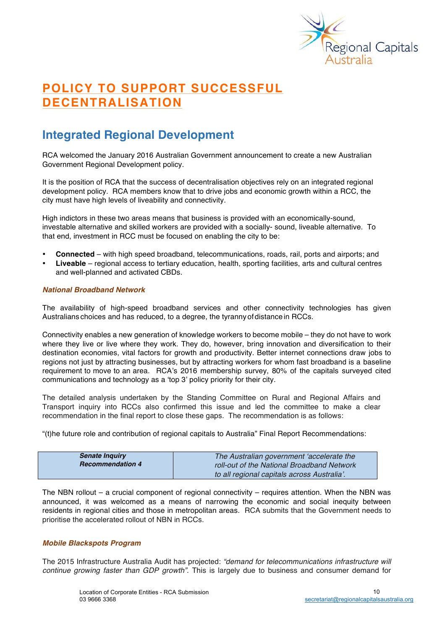

# **POLICY TO SUPPORT SUCCESSFUL DECENTRALISATION**

# **Integrated Regional Development**

RCA welcomed the January 2016 Australian Government announcement to create a new Australian Government Regional Development policy.

It is the position of RCA that the success of decentralisation objectives rely on an integrated regional development policy. RCA members know that to drive jobs and economic growth within a RCC, the city must have high levels of liveability and connectivity.

High indictors in these two areas means that business is provided with an economically-sound, investable alternative and skilled workers are provided with a socially- sound, liveable alternative. To that end, investment in RCC must be focused on enabling the city to be:

- **Connected** with high speed broadband, telecommunications, roads, rail, ports and airports; and
- **Liveable** regional access to tertiary education, health, sporting facilities, arts and cultural centres and well-planned and activated CBDs.

### *National Broadband Network*

The availability of high-speed broadband services and other connectivity technologies has given Australians choices and has reduced, to a degree, the tyranny of distance in RCCs.

Connectivity enables a new generation of knowledge workers to become mobile – they do not have to work where they live or live where they work. They do, however, bring innovation and diversification to their destination economies, vital factors for growth and productivity. Better internet connections draw jobs to regions not just by attracting businesses, but by attracting workers for whom fast broadband is a baseline requirement to move to an area. RCA's 2016 membership survey, 80% of the capitals surveyed cited communications and technology as a 'top 3' policy priority for their city.

The detailed analysis undertaken by the Standing Committee on Rural and Regional Affairs and Transport inquiry into RCCs also confirmed this issue and led the committee to make a clear recommendation in the final report to close these gaps. The recommendation is as follows:

"(t)he future role and contribution of regional capitals to Australia" Final Report Recommendations:

| <b>Senate Inquiry</b>   | The Australian government 'accelerate the   |
|-------------------------|---------------------------------------------|
| <b>Recommendation 4</b> | roll-out of the National Broadband Network  |
|                         | to all regional capitals across Australia'. |

The NBN rollout – a crucial component of regional connectivity – requires attention. When the NBN was announced, it was welcomed as a means of narrowing the economic and social inequity between residents in regional cities and those in metropolitan areas. RCA submits that the Government needs to prioritise the accelerated rollout of NBN in RCCs.

### *Mobile Blackspots Program*

The 2015 Infrastructure Australia Audit has projected: *"demand for telecommunications infrastructure will continue growing faster than GDP growth"*. This is largely due to business and consumer demand for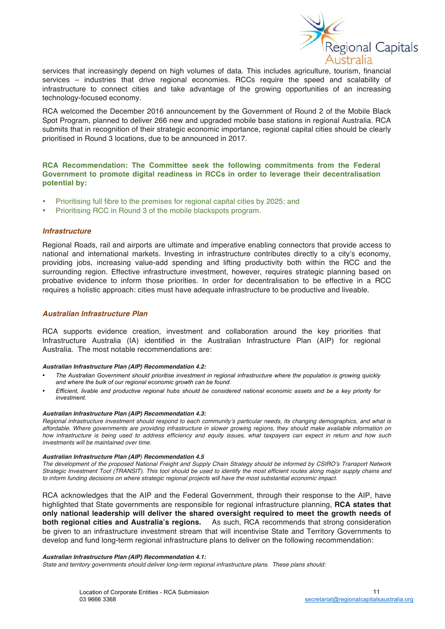

services that increasingly depend on high volumes of data. This includes agriculture, tourism, financial services – industries that drive regional economies. RCCs require the speed and scalability of infrastructure to connect cities and take advantage of the growing opportunities of an increasing technology-focused economy.

RCA welcomed the December 2016 announcement by the Government of Round 2 of the Mobile Black Spot Program, planned to deliver 266 new and upgraded mobile base stations in regional Australia. RCA submits that in recognition of their strategic economic importance, regional capital cities should be clearly prioritised in Round 3 locations, due to be announced in 2017.

**RCA Recommendation: The Committee seek the following commitments from the Federal Government to promote digital readiness in RCCs in order to leverage their decentralisation potential by:**

- Prioritising full fibre to the premises for regional capital cities by 2025; and
- Prioritising RCC in Round 3 of the mobile blackspots program.

#### *Infrastructure*

Regional Roads, rail and airports are ultimate and imperative enabling connectors that provide access to national and international markets. Investing in infrastructure contributes directly to a city's economy, providing jobs, increasing value-add spending and lifting productivity both within the RCC and the surrounding region. Effective infrastructure investment, however, requires strategic planning based on probative evidence to inform those priorities. In order for decentralisation to be effective in a RCC requires a holistic approach: cities must have adequate infrastructure to be productive and liveable.

#### *Australian Infrastructure Plan*

RCA supports evidence creation, investment and collaboration around the key priorities that Infrastructure Australia (IA) identified in the Australian Infrastructure Plan (AIP) for regional Australia. The most notable recommendations are:

#### *Australian Infrastructure Plan (AIP) Recommendation 4.2:*

- *The Australian Government should prioritise investment in regional infrastructure where the population is growing quickly and where the bulk of our regional economic growth can be found.*
- *Efficient, livable and productive regional hubs should be considered national economic assets and be a key priority for investment.*

#### *Australian Infrastructure Plan (AIP) Recommendation 4.3:*

*Regional infrastructure investment should respond to each community's particular needs, its changing demographics, and what is affordable. Where governments are providing infrastructure in slower growing regions, they should make available information on how infrastructure is being used to address efficiency and equity issues, what taxpayers can expect in return and how such investments will be maintained over time.*

#### *Australian Infrastructure Plan (AIP) Recommendation 4.5*

*The development of the proposed National Freight and Supply Chain Strategy should be informed by CSIRO's Transport Network Strategic Investment Tool (TRANSIT). This tool should be used to identify the most efficient routes along major supply chains and to inform funding decisions on where strategic regional projects will have the most substantial economic impact.*

RCA acknowledges that the AIP and the Federal Government, through their response to the AIP, have highlighted that State governments are responsible for regional infrastructure planning, **RCA states that only national leadership will deliver the shared oversight required to meet the growth needs of both regional cities and Australia's regions.** As such, RCA recommends that strong consideration be given to an infrastructure investment stream that will incentivise State and Territory Governments to develop and fund long-term regional infrastructure plans to deliver on the following recommendation:

#### *Australian Infrastructure Plan (AIP) Recommendation 4.1:*

*State and territory governments should deliver long-term regional infrastructure plans. These plans should:*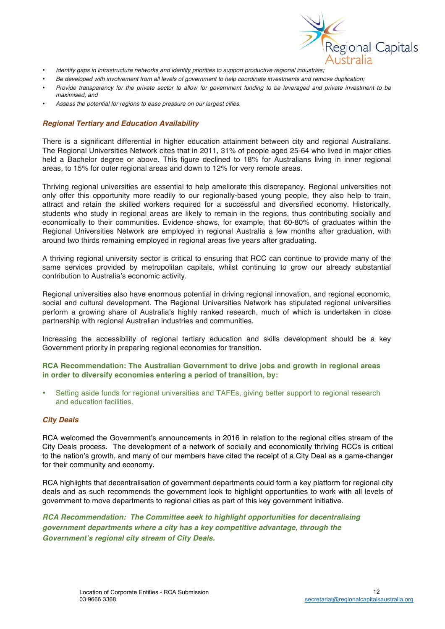

- *Identify gaps in infrastructure networks and identify priorities to support productive regional industries;*
- *Be developed with involvement from all levels of government to help coordinate investments and remove duplication;*
- *Provide transparency for the private sector to allow for government funding to be leveraged and private investment to be maximised; and*
- *Assess the potential for regions to ease pressure on our largest cities.*

#### *Regional Tertiary and Education Availability*

There is a significant differential in higher education attainment between city and regional Australians. The Regional Universities Network cites that in 2011, 31% of people aged 25-64 who lived in major cities held a Bachelor degree or above. This figure declined to 18% for Australians living in inner regional areas, to 15% for outer regional areas and down to 12% for very remote areas.

Thriving regional universities are essential to help ameliorate this discrepancy. Regional universities not only offer this opportunity more readily to our regionally-based young people, they also help to train, attract and retain the skilled workers required for a successful and diversified economy. Historically, students who study in regional areas are likely to remain in the regions, thus contributing socially and economically to their communities. Evidence shows, for example, that 60-80% of graduates within the Regional Universities Network are employed in regional Australia a few months after graduation, with around two thirds remaining employed in regional areas five years after graduating.

A thriving regional university sector is critical to ensuring that RCC can continue to provide many of the same services provided by metropolitan capitals, whilst continuing to grow our already substantial contribution to Australia's economic activity.

Regional universities also have enormous potential in driving regional innovation, and regional economic, social and cultural development. The Regional Universities Network has stipulated regional universities perform a growing share of Australia's highly ranked research, much of which is undertaken in close partnership with regional Australian industries and communities.

Increasing the accessibility of regional tertiary education and skills development should be a key Government priority in preparing regional economies for transition.

#### **RCA Recommendation: The Australian Government to drive jobs and growth in regional areas in order to diversify economies entering a period of transition, by:**

• Setting aside funds for regional universities and TAFEs, giving better support to regional research and education facilities.

#### *City Deals*

RCA welcomed the Government's announcements in 2016 in relation to the regional cities stream of the City Deals process. The development of a network of socially and economically thriving RCCs is critical to the nation's growth, and many of our members have cited the receipt of a City Deal as a game-changer for their community and economy.

RCA highlights that decentralisation of government departments could form a key platform for regional city deals and as such recommends the government look to highlight opportunities to work with all levels of government to move departments to regional cities as part of this key government initiative.

*RCA Recommendation: The Committee seek to highlight opportunities for decentralising government departments where a city has a key competitive advantage, through the Government's regional city stream of City Deals.*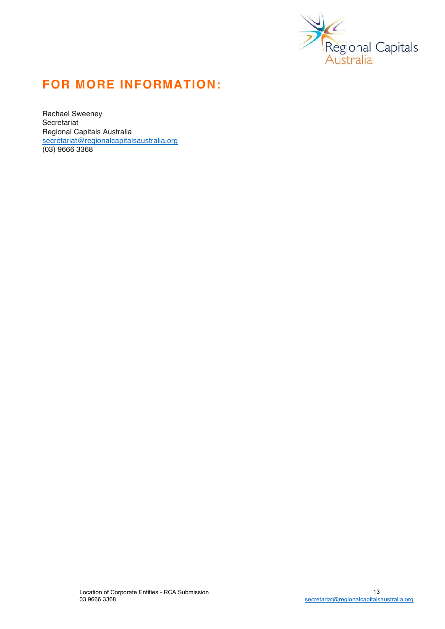

# **FOR MORE INFORMATION:**

Rachael Sweeney Secretariat Regional Capitals Australia secretariat@regionalcapitalsaustralia.org (03) 9666 3368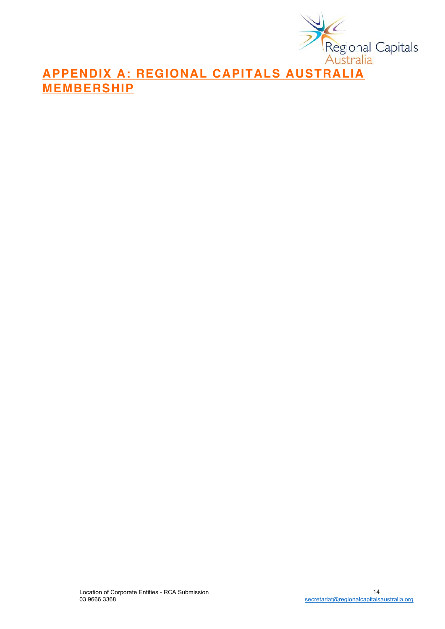

**APPENDIX A: REGIONAL CAPITALS AUSTRALIA MEMBERSHIP**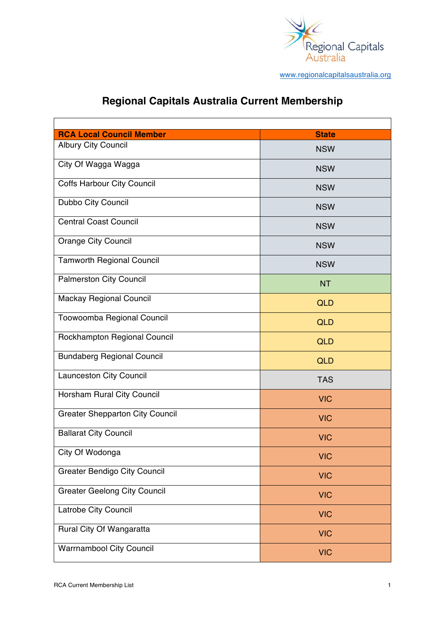

www.regionalcapitalsaustralia.org

# **Regional Capitals Australia Current Membership**

| <b>RCA Local Council Member</b><br><b>Albury City Council</b> | <b>State</b> |
|---------------------------------------------------------------|--------------|
|                                                               | <b>NSW</b>   |
| City Of Wagga Wagga                                           | <b>NSW</b>   |
| <b>Coffs Harbour City Council</b>                             | <b>NSW</b>   |
| Dubbo City Council                                            | <b>NSW</b>   |
| <b>Central Coast Council</b>                                  | <b>NSW</b>   |
| <b>Orange City Council</b>                                    | <b>NSW</b>   |
| <b>Tamworth Regional Council</b>                              | <b>NSW</b>   |
| <b>Palmerston City Council</b>                                | <b>NT</b>    |
| <b>Mackay Regional Council</b>                                | <b>QLD</b>   |
| Toowoomba Regional Council                                    | <b>QLD</b>   |
| Rockhampton Regional Council                                  | <b>QLD</b>   |
| <b>Bundaberg Regional Council</b>                             | <b>QLD</b>   |
| <b>Launceston City Council</b>                                | <b>TAS</b>   |
| Horsham Rural City Council                                    | <b>VIC</b>   |
| <b>Greater Shepparton City Council</b>                        | <b>VIC</b>   |
| <b>Ballarat City Council</b>                                  | <b>VIC</b>   |
| City Of Wodonga                                               | <b>VIC</b>   |
| <b>Greater Bendigo City Council</b>                           | <b>VIC</b>   |
| <b>Greater Geelong City Council</b>                           | <b>VIC</b>   |
| Latrobe City Council                                          | <b>VIC</b>   |
| Rural City Of Wangaratta                                      | <b>VIC</b>   |
| <b>Warrnambool City Council</b>                               | <b>VIC</b>   |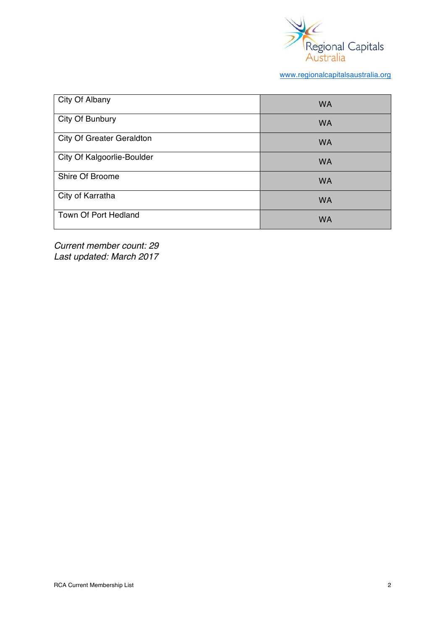

### www.regionalcapitalsaustralia.org

| City Of Albany                    | <b>WA</b> |
|-----------------------------------|-----------|
| City Of Bunbury                   | <b>WA</b> |
| City Of Greater Geraldton         | <b>WA</b> |
| <b>City Of Kalgoorlie-Boulder</b> | <b>WA</b> |
| Shire Of Broome                   | <b>WA</b> |
| City of Karratha                  | <b>WA</b> |
| Town Of Port Hedland              | <b>WA</b> |

*Current member count: 29 Last updated: March 2017*